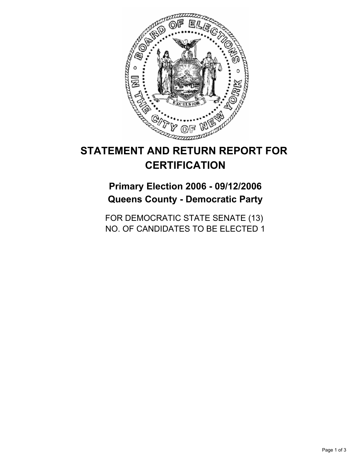

# **STATEMENT AND RETURN REPORT FOR CERTIFICATION**

**Primary Election 2006 - 09/12/2006 Queens County - Democratic Party**

FOR DEMOCRATIC STATE SENATE (13) NO. OF CANDIDATES TO BE ELECTED 1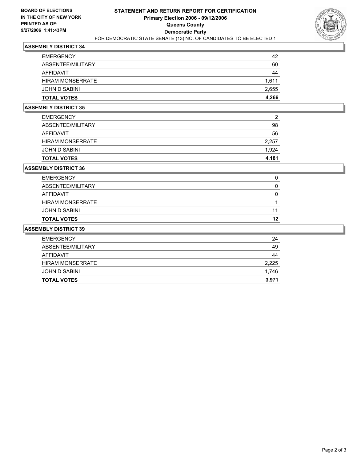

## **ASSEMBLY DISTRICT 34**

| <b>EMERGENCY</b>        | 42    |
|-------------------------|-------|
| ABSENTEE/MILITARY       | 60    |
| AFFIDAVIT               | 44    |
| <b>HIRAM MONSERRATE</b> | 1,611 |
| JOHN D SABINI           | 2,655 |
| <b>TOTAL VOTES</b>      | 4,266 |

## **ASSEMBLY DISTRICT 35**

| <b>EMERGENCY</b>        | 2     |
|-------------------------|-------|
| ABSENTEE/MILITARY       | 98    |
| AFFIDAVIT               | 56    |
| <b>HIRAM MONSERRATE</b> | 2,257 |
| JOHN D SABINI           | 1,924 |
| <b>TOTAL VOTES</b>      | 4,181 |

#### **ASSEMBLY DISTRICT 36**

| <b>EMERGENCY</b>        |    |
|-------------------------|----|
| ABSENTEE/MILITARY       |    |
| AFFIDAVIT               |    |
| <b>HIRAM MONSERRATE</b> |    |
| JOHN D SABINI           |    |
| <b>TOTAL VOTES</b>      | 12 |

## **ASSEMBLY DISTRICT 39**

| 24    |
|-------|
| 49    |
| 44    |
| 2,225 |
| 1,746 |
| 3,971 |
|       |